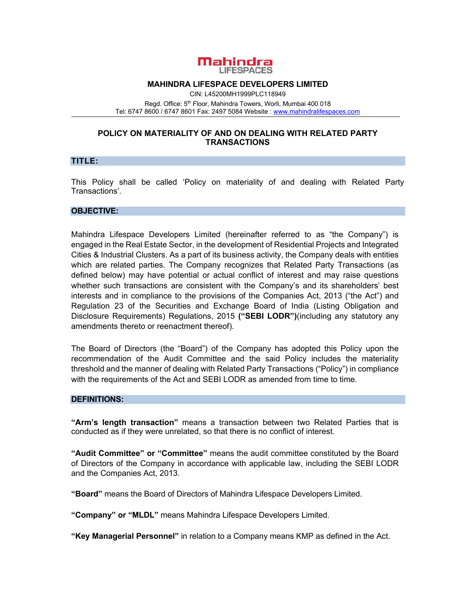

### **MAHINDRA LIFESPACE DEVELOPERS LIMITED**

CIN: L45200MH1999PLC118949 Regd. Office: 5<sup>th</sup> Floor, Mahindra Towers, Worli, Mumbai 400 018 Tel: 6747 8600 / 6747 8601 Fax: 2497 5084 Website : www.mahindralifespaces.com

## **POLICY ON MATERIALITY OF AND ON DEALING WITH RELATED PARTY TRANSACTIONS**

## **TITLE:**

This Policy shall be called 'Policy on materiality of and dealing with Related Party Transactions'.

## **OBJECTIVE:**

Mahindra Lifespace Developers Limited (hereinafter referred to as "the Company") is engaged in the Real Estate Sector, in the development of Residential Projects and Integrated Cities & Industrial Clusters. As a part of its business activity, the Company deals with entities which are related parties. The Company recognizes that Related Party Transactions (as defined below) may have potential or actual conflict of interest and may raise questions whether such transactions are consistent with the Company's and its shareholders' best interests and in compliance to the provisions of the Companies Act, 2013 ("the Act") and Regulation 23 of the Securities and Exchange Board of India (Listing Obligation and Disclosure Requirements) Regulations, 2015 **("SEBI LODR")**(including any statutory any amendments thereto or reenactment thereof).

The Board of Directors (the "Board") of the Company has adopted this Policy upon the recommendation of the Audit Committee and the said Policy includes the materiality threshold and the manner of dealing with Related Party Transactions ("Policy") in compliance with the requirements of the Act and SEBI LODR as amended from time to time.

#### **DEFINITIONS:**

**"Arm's length transaction"** means a transaction between two Related Parties that is conducted as if they were unrelated, so that there is no conflict of interest.

**"Audit Committee" or "Committee"** means the audit committee constituted by the Board of Directors of the Company in accordance with applicable law, including the SEBI LODR and the Companies Act, 2013.

**"Board"** means the Board of Directors of Mahindra Lifespace Developers Limited.

**"Company" or "MLDL"** means Mahindra Lifespace Developers Limited.

**"Key Managerial Personnel"** in relation to a Company means KMP as defined in the Act.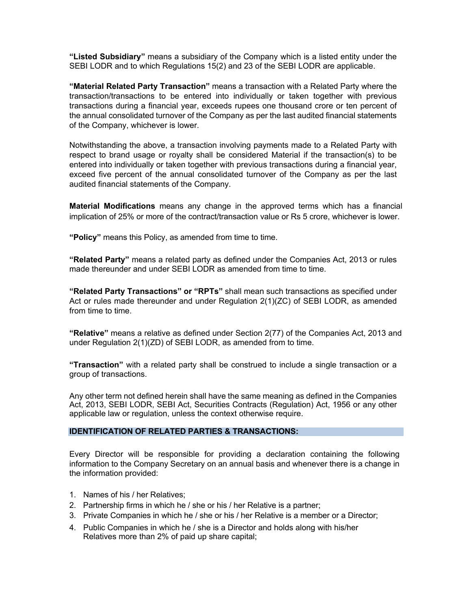**"Listed Subsidiary"** means a subsidiary of the Company which is a listed entity under the SEBI LODR and to which Regulations 15(2) and 23 of the SEBI LODR are applicable.

**"Material Related Party Transaction"** means a transaction with a Related Party where the transaction/transactions to be entered into individually or taken together with previous transactions during a financial year, exceeds rupees one thousand crore or ten percent of the annual consolidated turnover of the Company as per the last audited financial statements of the Company, whichever is lower.

Notwithstanding the above, a transaction involving payments made to a Related Party with respect to brand usage or royalty shall be considered Material if the transaction(s) to be entered into individually or taken together with previous transactions during a financial year, exceed five percent of the annual consolidated turnover of the Company as per the last audited financial statements of the Company.

**Material Modifications** means any change in the approved terms which has a financial implication of 25% or more of the contract/transaction value or Rs 5 crore, whichever is lower.

**"Policy"** means this Policy, as amended from time to time.

**"Related Party"** means a related party as defined under the Companies Act, 2013 or rules made thereunder and under SEBI LODR as amended from time to time.

**"Related Party Transactions" or "RPTs"** shall mean such transactions as specified under Act or rules made thereunder and under Regulation 2(1)(ZC) of SEBI LODR, as amended from time to time.

**"Relative"** means a relative as defined under Section 2(77) of the Companies Act, 2013 and under Regulation 2(1)(ZD) of SEBI LODR, as amended from to time.

**"Transaction"** with a related party shall be construed to include a single transaction or a group of transactions.

Any other term not defined herein shall have the same meaning as defined in the Companies Act, 2013, SEBI LODR, SEBI Act, Securities Contracts (Regulation) Act, 1956 or any other applicable law or regulation, unless the context otherwise require.

# **IDENTIFICATION OF RELATED PARTIES & TRANSACTIONS:**

Every Director will be responsible for providing a declaration containing the following information to the Company Secretary on an annual basis and whenever there is a change in the information provided:

- 1. Names of his / her Relatives;
- 2. Partnership firms in which he / she or his / her Relative is a partner;
- 3. Private Companies in which he / she or his / her Relative is a member or a Director;
- 4. Public Companies in which he / she is a Director and holds along with his/her Relatives more than 2% of paid up share capital;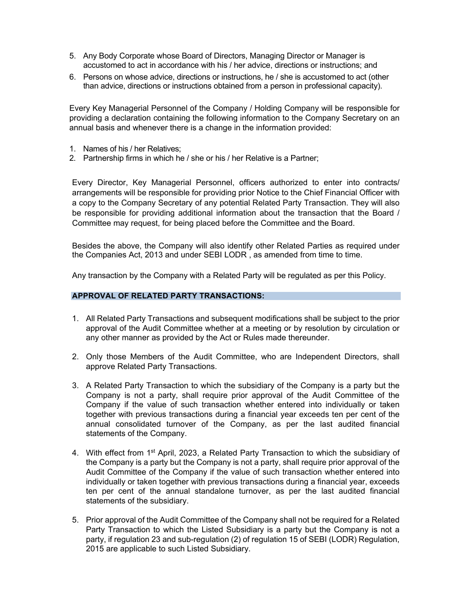- 5. Any Body Corporate whose Board of Directors, Managing Director or Manager is accustomed to act in accordance with his / her advice, directions or instructions; and
- 6. Persons on whose advice, directions or instructions, he / she is accustomed to act (other than advice, directions or instructions obtained from a person in professional capacity).

Every Key Managerial Personnel of the Company / Holding Company will be responsible for providing a declaration containing the following information to the Company Secretary on an annual basis and whenever there is a change in the information provided:

- 1. Names of his / her Relatives;
- 2. Partnership firms in which he / she or his / her Relative is a Partner;

Every Director, Key Managerial Personnel, officers authorized to enter into contracts/ arrangements will be responsible for providing prior Notice to the Chief Financial Officer with a copy to the Company Secretary of any potential Related Party Transaction. They will also be responsible for providing additional information about the transaction that the Board / Committee may request, for being placed before the Committee and the Board.

Besides the above, the Company will also identify other Related Parties as required under the Companies Act, 2013 and under SEBI LODR , as amended from time to time.

Any transaction by the Company with a Related Party will be regulated as per this Policy.

## **APPROVAL OF RELATED PARTY TRANSACTIONS:**

- 1. All Related Party Transactions and subsequent modifications shall be subject to the prior approval of the Audit Committee whether at a meeting or by resolution by circulation or any other manner as provided by the Act or Rules made thereunder.
- 2. Only those Members of the Audit Committee, who are Independent Directors, shall approve Related Party Transactions.
- 3. A Related Party Transaction to which the subsidiary of the Company is a party but the Company is not a party, shall require prior approval of the Audit Committee of the Company if the value of such transaction whether entered into individually or taken together with previous transactions during a financial year exceeds ten per cent of the annual consolidated turnover of the Company, as per the last audited financial statements of the Company.
- 4. With effect from 1<sup>st</sup> April, 2023, a Related Party Transaction to which the subsidiary of the Company is a party but the Company is not a party, shall require prior approval of the Audit Committee of the Company if the value of such transaction whether entered into individually or taken together with previous transactions during a financial year, exceeds ten per cent of the annual standalone turnover, as per the last audited financial statements of the subsidiary.
- 5. Prior approval of the Audit Committee of the Company shall not be required for a Related Party Transaction to which the Listed Subsidiary is a party but the Company is not a party, if regulation 23 and sub-regulation (2) of regulation 15 of SEBI (LODR) Regulation, 2015 are applicable to such Listed Subsidiary.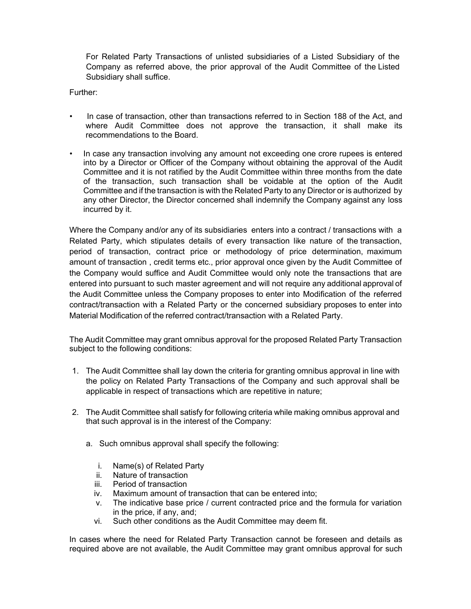For Related Party Transactions of unlisted subsidiaries of a Listed Subsidiary of the Company as referred above, the prior approval of the Audit Committee of the Listed Subsidiary shall suffice.

Further:

- In case of transaction, other than transactions referred to in Section 188 of the Act, and where Audit Committee does not approve the transaction, it shall make its recommendations to the Board.
- In case any transaction involving any amount not exceeding one crore rupees is entered into by a Director or Officer of the Company without obtaining the approval of the Audit Committee and it is not ratified by the Audit Committee within three months from the date of the transaction, such transaction shall be voidable at the option of the Audit Committee and if the transaction is with the Related Party to any Director or is authorized by any other Director, the Director concerned shall indemnify the Company against any loss incurred by it.

Where the Company and/or any of its subsidiaries enters into a contract / transactions with a Related Party, which stipulates details of every transaction like nature of the transaction, period of transaction, contract price or methodology of price determination, maximum amount of transaction , credit terms etc., prior approval once given by the Audit Committee of the Company would suffice and Audit Committee would only note the transactions that are entered into pursuant to such master agreement and will not require any additional approval of the Audit Committee unless the Company proposes to enter into Modification of the referred contract/transaction with a Related Party or the concerned subsidiary proposes to enter into Material Modification of the referred contract/transaction with a Related Party.

The Audit Committee may grant omnibus approval for the proposed Related Party Transaction subject to the following conditions:

- 1. The Audit Committee shall lay down the criteria for granting omnibus approval in line with the policy on Related Party Transactions of the Company and such approval shall be applicable in respect of transactions which are repetitive in nature;
- 2. The Audit Committee shall satisfy for following criteria while making omnibus approval and that such approval is in the interest of the Company:
	- a. Such omnibus approval shall specify the following:
		- i. Name(s) of Related Party
		- ii. Nature of transaction
		- iii. Period of transaction
		- iv. Maximum amount of transaction that can be entered into;
		- v. The indicative base price / current contracted price and the formula for variation in the price, if any, and;
		- vi. Such other conditions as the Audit Committee may deem fit.

In cases where the need for Related Party Transaction cannot be foreseen and details as required above are not available, the Audit Committee may grant omnibus approval for such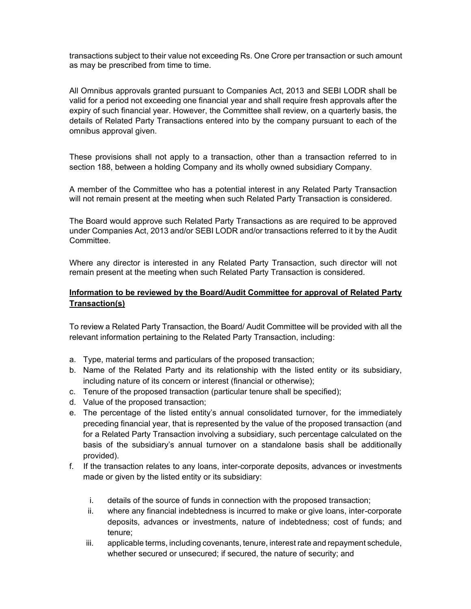transactions subject to their value not exceeding Rs. One Crore per transaction or such amount as may be prescribed from time to time.

All Omnibus approvals granted pursuant to Companies Act, 2013 and SEBI LODR shall be valid for a period not exceeding one financial year and shall require fresh approvals after the expiry of such financial year. However, the Committee shall review, on a quarterly basis, the details of Related Party Transactions entered into by the company pursuant to each of the omnibus approval given.

These provisions shall not apply to a transaction, other than a transaction referred to in section 188, between a holding Company and its wholly owned subsidiary Company.

A member of the Committee who has a potential interest in any Related Party Transaction will not remain present at the meeting when such Related Party Transaction is considered.

The Board would approve such Related Party Transactions as are required to be approved under Companies Act, 2013 and/or SEBI LODR and/or transactions referred to it by the Audit Committee.

Where any director is interested in any Related Party Transaction, such director will not remain present at the meeting when such Related Party Transaction is considered.

# **Information to be reviewed by the Board/Audit Committee for approval of Related Party Transaction(s)**

To review a Related Party Transaction, the Board/ Audit Committee will be provided with all the relevant information pertaining to the Related Party Transaction, including:

- a. Type, material terms and particulars of the proposed transaction;
- b. Name of the Related Party and its relationship with the listed entity or its subsidiary, including nature of its concern or interest (financial or otherwise);
- c. Tenure of the proposed transaction (particular tenure shall be specified);
- d. Value of the proposed transaction;
- e. The percentage of the listed entity's annual consolidated turnover, for the immediately preceding financial year, that is represented by the value of the proposed transaction (and for a Related Party Transaction involving a subsidiary, such percentage calculated on the basis of the subsidiary's annual turnover on a standalone basis shall be additionally provided).
- f. If the transaction relates to any loans, inter-corporate deposits, advances or investments made or given by the listed entity or its subsidiary:
	- i. details of the source of funds in connection with the proposed transaction;
	- ii. where any financial indebtedness is incurred to make or give loans, inter-corporate deposits, advances or investments, nature of indebtedness; cost of funds; and tenure;
	- iii. applicable terms, including covenants, tenure, interest rate and repayment schedule, whether secured or unsecured; if secured, the nature of security; and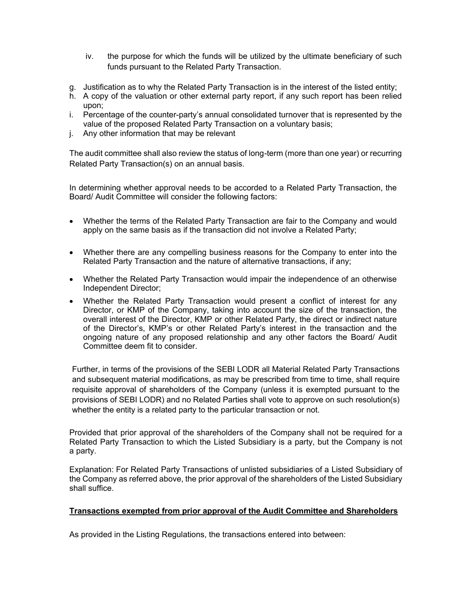- iv. the purpose for which the funds will be utilized by the ultimate beneficiary of such funds pursuant to the Related Party Transaction.
- g. Justification as to why the Related Party Transaction is in the interest of the listed entity;
- h. A copy of the valuation or other external party report, if any such report has been relied upon;
- i. Percentage of the counter-party's annual consolidated turnover that is represented by the value of the proposed Related Party Transaction on a voluntary basis;
- j. Any other information that may be relevant

The audit committee shall also review the status of long-term (more than one year) or recurring Related Party Transaction(s) on an annual basis.

In determining whether approval needs to be accorded to a Related Party Transaction, the Board/ Audit Committee will consider the following factors:

- Whether the terms of the Related Party Transaction are fair to the Company and would apply on the same basis as if the transaction did not involve a Related Party;
- Whether there are any compelling business reasons for the Company to enter into the Related Party Transaction and the nature of alternative transactions, if any;
- Whether the Related Party Transaction would impair the independence of an otherwise Independent Director;
- Whether the Related Party Transaction would present a conflict of interest for any Director, or KMP of the Company, taking into account the size of the transaction, the overall interest of the Director, KMP or other Related Party, the direct or indirect nature of the Director's, KMP's or other Related Party's interest in the transaction and the ongoing nature of any proposed relationship and any other factors the Board/ Audit Committee deem fit to consider.

Further, in terms of the provisions of the SEBI LODR all Material Related Party Transactions and subsequent material modifications, as may be prescribed from time to time, shall require requisite approval of shareholders of the Company (unless it is exempted pursuant to the provisions of SEBI LODR) and no Related Parties shall vote to approve on such resolution(s) whether the entity is a related party to the particular transaction or not.

Provided that prior approval of the shareholders of the Company shall not be required for a Related Party Transaction to which the Listed Subsidiary is a party, but the Company is not a party.

Explanation: For Related Party Transactions of unlisted subsidiaries of a Listed Subsidiary of the Company as referred above, the prior approval of the shareholders of the Listed Subsidiary shall suffice.

# **Transactions exempted from prior approval of the Audit Committee and Shareholders**

As provided in the Listing Regulations, the transactions entered into between: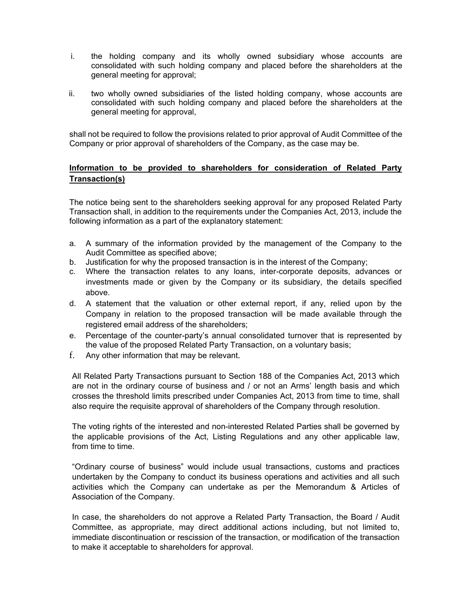- i. the holding company and its wholly owned subsidiary whose accounts are consolidated with such holding company and placed before the shareholders at the general meeting for approval;
- ii. two wholly owned subsidiaries of the listed holding company, whose accounts are consolidated with such holding company and placed before the shareholders at the general meeting for approval,

shall not be required to follow the provisions related to prior approval of Audit Committee of the Company or prior approval of shareholders of the Company, as the case may be.

# **Information to be provided to shareholders for consideration of Related Party Transaction(s)**

The notice being sent to the shareholders seeking approval for any proposed Related Party Transaction shall, in addition to the requirements under the Companies Act, 2013, include the following information as a part of the explanatory statement:

- a. A summary of the information provided by the management of the Company to the Audit Committee as specified above;
- b. Justification for why the proposed transaction is in the interest of the Company;
- c. Where the transaction relates to any loans, inter-corporate deposits, advances or investments made or given by the Company or its subsidiary, the details specified above.
- d. A statement that the valuation or other external report, if any, relied upon by the Company in relation to the proposed transaction will be made available through the registered email address of the shareholders;
- e. Percentage of the counter-party's annual consolidated turnover that is represented by the value of the proposed Related Party Transaction, on a voluntary basis;
- f. Any other information that may be relevant.

All Related Party Transactions pursuant to Section 188 of the Companies Act, 2013 which are not in the ordinary course of business and / or not an Arms' length basis and which crosses the threshold limits prescribed under Companies Act, 2013 from time to time, shall also require the requisite approval of shareholders of the Company through resolution.

The voting rights of the interested and non-interested Related Parties shall be governed by the applicable provisions of the Act, Listing Regulations and any other applicable law, from time to time.

"Ordinary course of business" would include usual transactions, customs and practices undertaken by the Company to conduct its business operations and activities and all such activities which the Company can undertake as per the Memorandum & Articles of Association of the Company.

In case, the shareholders do not approve a Related Party Transaction, the Board / Audit Committee, as appropriate, may direct additional actions including, but not limited to, immediate discontinuation or rescission of the transaction, or modification of the transaction to make it acceptable to shareholders for approval.